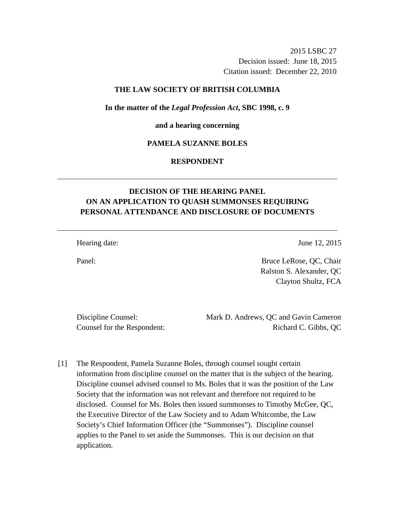2015 LSBC 27 Decision issued: June 18, 2015 Citation issued: December 22, 2010

# **THE LAW SOCIETY OF BRITISH COLUMBIA**

**In the matter of the** *Legal Profession Act***, SBC 1998, c. 9** 

#### **and a hearing concerning**

# **PAMELA SUZANNE BOLES**

# **RESPONDENT**

# **DECISION OF THE HEARING PANEL ON AN APPLICATION TO QUASH SUMMONSES REQUIRING PERSONAL ATTENDANCE AND DISCLOSURE OF DOCUMENTS**

Hearing date: June 12, 2015

Panel: Bruce LeRose, QC, Chair Ralston S. Alexander, QC Clayton Shultz, FCA

Discipline Counsel: Mark D. Andrews, QC and Gavin Cameron Counsel for the Respondent: Richard C. Gibbs, QC

[1] The Respondent, Pamela Suzanne Boles, through counsel sought certain information from discipline counsel on the matter that is the subject of the hearing. Discipline counsel advised counsel to Ms. Boles that it was the position of the Law Society that the information was not relevant and therefore not required to be disclosed. Counsel for Ms. Boles then issued summonses to Timothy McGee, QC, the Executive Director of the Law Society and to Adam Whitcombe, the Law Society's Chief Information Officer (the "Summonses"). Discipline counsel applies to the Panel to set aside the Summonses. This is our decision on that application.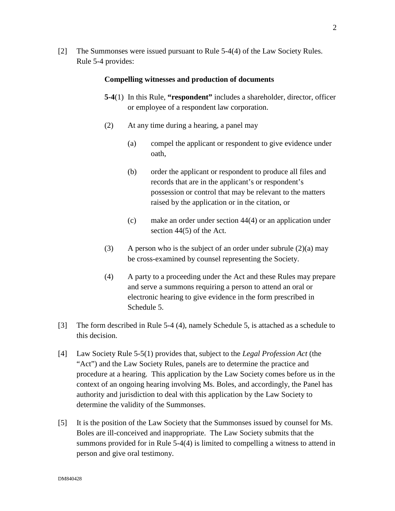[2] The Summonses were issued pursuant to Rule 5-4(4) of the Law Society Rules. Rule 5-4 provides:

#### **Compelling witnesses and production of documents**

- **5-4**(1) In this Rule, **"respondent"** includes a shareholder, director, officer or employee of a respondent law corporation.
- (2) At any time during a hearing, a panel may
	- (a) compel the applicant or respondent to give evidence under oath,
	- (b) order the applicant or respondent to produce all files and records that are in the applicant's or respondent's possession or control that may be relevant to the matters raised by the application or in the citation, or
	- (c) make an order under section 44(4) or an application under section 44(5) of the Act.
- (3) A person who is the subject of an order under subrule  $(2)(a)$  may be cross-examined by counsel representing the Society.
- (4) A party to a proceeding under the Act and these Rules may prepare and serve a summons requiring a person to attend an oral or electronic hearing to give evidence in the form prescribed in Schedule 5.
- [3] The form described in Rule 5-4 (4), namely Schedule 5, is attached as a schedule to this decision.
- [4] Law Society Rule 5-5(1) provides that, subject to the *Legal Profession Act* (the "Act") and the Law Society Rules, panels are to determine the practice and procedure at a hearing. This application by the Law Society comes before us in the context of an ongoing hearing involving Ms. Boles, and accordingly, the Panel has authority and jurisdiction to deal with this application by the Law Society to determine the validity of the Summonses.
- [5] It is the position of the Law Society that the Summonses issued by counsel for Ms. Boles are ill-conceived and inappropriate. The Law Society submits that the summons provided for in Rule 5-4(4) is limited to compelling a witness to attend in person and give oral testimony.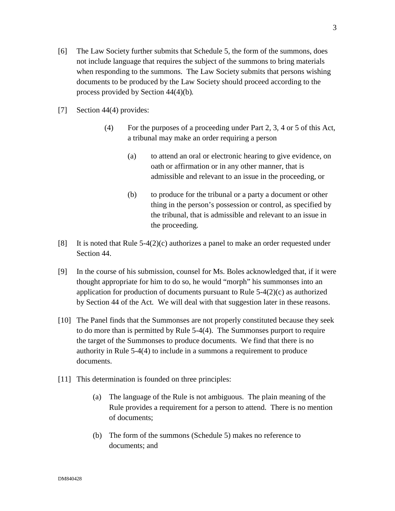- [6] The Law Society further submits that Schedule 5, the form of the summons, does not include language that requires the subject of the summons to bring materials when responding to the summons. The Law Society submits that persons wishing documents to be produced by the Law Society should proceed according to the process provided by Section 44(4)(b)*.*
- [7] Section 44(4) provides:
	- (4) For the purposes of a proceeding under Part 2, 3, 4 or 5 of this Act, a tribunal may make an order requiring a person
		- (a) to attend an oral or electronic hearing to give evidence, on oath or affirmation or in any other manner, that is admissible and relevant to an issue in the proceeding, or
		- (b) to produce for the tribunal or a party a document or other thing in the person's possession or control, as specified by the tribunal, that is admissible and relevant to an issue in the proceeding.
- [8] It is noted that Rule  $5-4(2)(c)$  authorizes a panel to make an order requested under Section 44.
- [9] In the course of his submission, counsel for Ms. Boles acknowledged that, if it were thought appropriate for him to do so, he would "morph" his summonses into an application for production of documents pursuant to Rule  $5-4(2)(c)$  as authorized by Section 44 of the Act*.* We will deal with that suggestion later in these reasons.
- [10] The Panel finds that the Summonses are not properly constituted because they seek to do more than is permitted by Rule 5-4(4). The Summonses purport to require the target of the Summonses to produce documents. We find that there is no authority in Rule 5-4(4) to include in a summons a requirement to produce documents.
- [11] This determination is founded on three principles:
	- (a) The language of the Rule is not ambiguous. The plain meaning of the Rule provides a requirement for a person to attend. There is no mention of documents;
	- (b) The form of the summons (Schedule 5) makes no reference to documents; and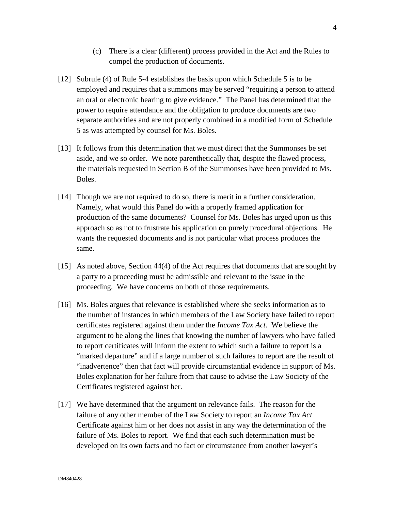- (c) There is a clear (different) process provided in the Act and the Rules to compel the production of documents.
- [12] Subrule (4) of Rule 5-4 establishes the basis upon which Schedule 5 is to be employed and requires that a summons may be served "requiring a person to attend an oral or electronic hearing to give evidence." The Panel has determined that the power to require attendance and the obligation to produce documents are two separate authorities and are not properly combined in a modified form of Schedule 5 as was attempted by counsel for Ms. Boles.
- [13] It follows from this determination that we must direct that the Summonses be set aside, and we so order. We note parenthetically that, despite the flawed process, the materials requested in Section B of the Summonses have been provided to Ms. Boles.
- [14] Though we are not required to do so, there is merit in a further consideration. Namely, what would this Panel do with a properly framed application for production of the same documents? Counsel for Ms. Boles has urged upon us this approach so as not to frustrate his application on purely procedural objections. He wants the requested documents and is not particular what process produces the same.
- [15] As noted above, Section 44(4) of the Act requires that documents that are sought by a party to a proceeding must be admissible and relevant to the issue in the proceeding. We have concerns on both of those requirements.
- [16] Ms. Boles argues that relevance is established where she seeks information as to the number of instances in which members of the Law Society have failed to report certificates registered against them under the *Income Tax Act*. We believe the argument to be along the lines that knowing the number of lawyers who have failed to report certificates will inform the extent to which such a failure to report is a "marked departure" and if a large number of such failures to report are the result of "inadvertence" then that fact will provide circumstantial evidence in support of Ms. Boles explanation for her failure from that cause to advise the Law Society of the Certificates registered against her.
- [17] We have determined that the argument on relevance fails. The reason for the failure of any other member of the Law Society to report an *Income Tax Act* Certificate against him or her does not assist in any way the determination of the failure of Ms. Boles to report. We find that each such determination must be developed on its own facts and no fact or circumstance from another lawyer's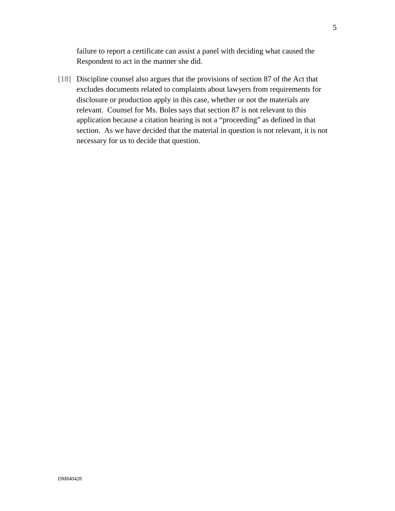failure to report a certificate can assist a panel with deciding what caused the Respondent to act in the manner she did.

[18] Discipline counsel also argues that the provisions of section 87 of the Act that excludes documents related to complaints about lawyers from requirements for disclosure or production apply in this case, whether or not the materials are relevant. Counsel for Ms. Boles says that section 87 is not relevant to this application because a citation hearing is not a "proceeding" as defined in that section. As we have decided that the material in question is not relevant, it is not necessary for us to decide that question.